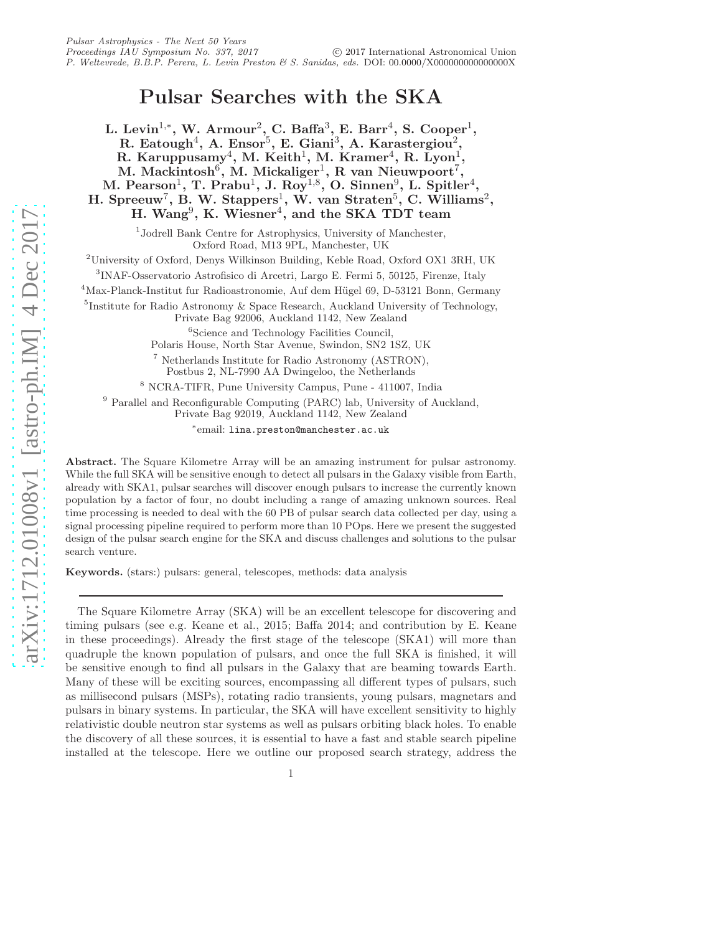# Pulsar Searches with the SKA

L. Levin<sup>1,\*</sup>, W. Armour<sup>2</sup>, C. Baffa<sup>3</sup>, E. Barr<sup>4</sup>, S. Cooper<sup>1</sup>, R. Eatough<sup>4</sup>, A. Ensor<sup>5</sup>, E. Giani<sup>3</sup>, A. Karastergiou<sup>2</sup>, R. Karuppusamy<sup>4</sup>, M. Keith<sup>1</sup>, M. Kramer<sup>4</sup>, R. Lyon<sup>1</sup>, M. Mackintosh<sup>6</sup>, M. Mickaliger<sup>1</sup>, R van Nieuwpoort<sup>7</sup>, M. Pearson<sup>1</sup>, T. Prabu<sup>1</sup>, J. Roy<sup>1,8</sup>, O. Sinnen<sup>9</sup>, L. Spitler<sup>4</sup>, H. Spreeuw<sup>7</sup>, B. W. Stappers<sup>1</sup>, W. van Straten<sup>5</sup>, C. Williams<sup>2</sup>, H. Wang<sup>9</sup>, K. Wiesner<sup>4</sup>, and the SKA TDT team

> 1 Jodrell Bank Centre for Astrophysics, University of Manchester, Oxford Road, M13 9PL, Manchester, UK

<sup>2</sup>University of Oxford, Denys Wilkinson Building, Keble Road, Oxford OX1 3RH, UK

3 INAF-Osservatorio Astrofisico di Arcetri, Largo E. Fermi 5, 50125, Firenze, Italy

 $4$ Max-Planck-Institut fur Radioastronomie, Auf dem Hügel 69, D-53121 Bonn, Germany

5 Institute for Radio Astronomy & Space Research, Auckland University of Technology, Private Bag 92006, Auckland 1142, New Zealand

6 Science and Technology Facilities Council,

Polaris House, North Star Avenue, Swindon, SN2 1SZ, UK

<sup>7</sup> Netherlands Institute for Radio Astronomy (ASTRON), Postbus 2, NL-7990 AA Dwingeloo, the Netherlands

<sup>8</sup> NCRA-TIFR, Pune University Campus, Pune - 411007, India

<sup>9</sup> Parallel and Reconfigurable Computing (PARC) lab, University of Auckland, Private Bag 92019, Auckland 1142, New Zealand

∗ email: lina.preston@manchester.ac.uk

Abstract. The Square Kilometre Array will be an amazing instrument for pulsar astronomy. While the full SKA will be sensitive enough to detect all pulsars in the Galaxy visible from Earth, already with SKA1, pulsar searches will discover enough pulsars to increase the currently known population by a factor of four, no doubt including a range of amazing unknown sources. Real time processing is needed to deal with the 60 PB of pulsar search data collected per day, using a signal processing pipeline required to perform more than 10 POps. Here we present the suggested design of the pulsar search engine for the SKA and discuss challenges and solutions to the pulsar search venture.

Keywords. (stars:) pulsars: general, telescopes, methods: data analysis

The Square Kilometre Array (SKA) will be an excellent telescope for discovering and timing pulsars (see e.g. Keane et al., 2015; Baffa 2014; and contribution by E. Keane in these proceedings). Already the first stage of the telescope (SKA1) will more than quadruple the known population of pulsars, and once the full SKA is finished, it will be sensitive enough to find all pulsars in the Galaxy that are beaming towards Earth. Many of these will be exciting sources, encompassing all different types of pulsars, such as millisecond pulsars (MSPs), rotating radio transients, young pulsars, magnetars and pulsars in binary systems. In particular, the SKA will have excellent sensitivity to highly relativistic double neutron star systems as well as pulsars orbiting black holes. To enable the discovery of all these sources, it is essential to have a fast and stable search pipeline installed at the telescope. Here we outline our proposed search strategy, address the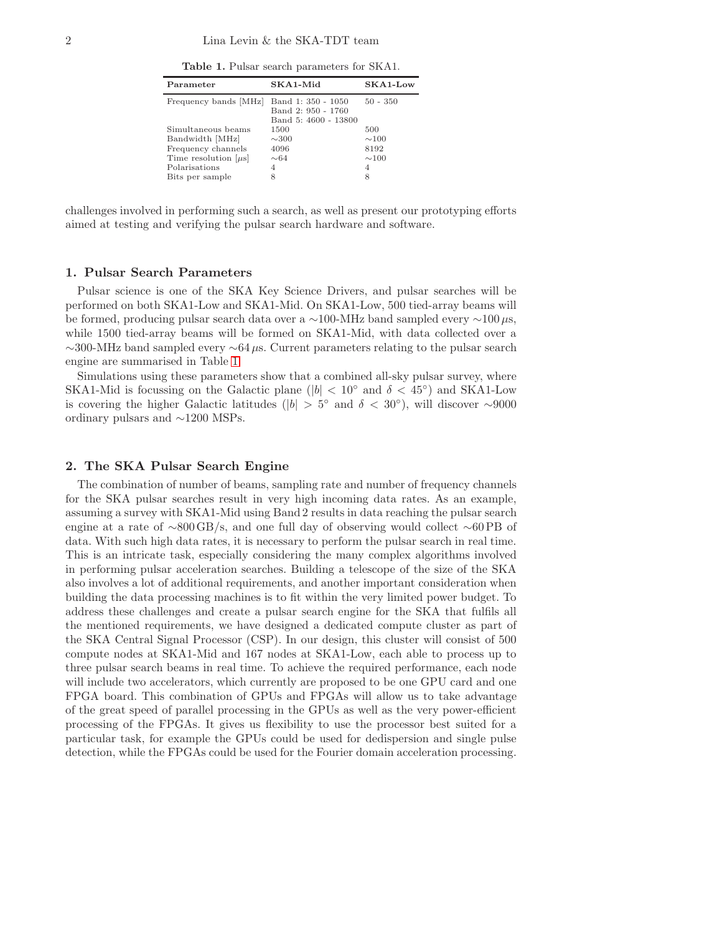<span id="page-1-0"></span>Table 1. Pulsar search parameters for SKA1.

| Parameter                                                                                                                    | SKA1-Mid                                                         | $SKA1$ -Low                                       |
|------------------------------------------------------------------------------------------------------------------------------|------------------------------------------------------------------|---------------------------------------------------|
| Frequency bands [MHz]                                                                                                        | Band 1: 350 - 1050<br>Band 2: 950 - 1760<br>Band 5: 4600 - 13800 | $50 - 350$                                        |
| Simultaneous beams<br>Bandwidth [MHz]<br>Frequency channels<br>Time resolution $[\mu s]$<br>Polarisations<br>Bits per sample | 1500<br>$\sim$ 300<br>4096<br>$\sim 64$<br>4<br>8                | 500<br>$\sim$ 100<br>8192<br>$\sim$ 100<br>4<br>8 |

challenges involved in performing such a search, as well as present our prototyping efforts aimed at testing and verifying the pulsar search hardware and software.

# 1. Pulsar Search Parameters

Pulsar science is one of the SKA Key Science Drivers, and pulsar searches will be performed on both SKA1-Low and SKA1-Mid. On SKA1-Low, 500 tied-array beams will be formed, producing pulsar search data over a ∼100-MHz band sampled every  $\sim$ 100 $\mu$ s, while 1500 tied-array beams will be formed on SKA1-Mid, with data collected over a ∼300-MHz band sampled every ∼64µs. Current parameters relating to the pulsar search engine are summarised in Table [1.](#page-1-0)

Simulations using these parameters show that a combined all-sky pulsar survey, where SKA1-Mid is focussing on the Galactic plane ( $|b|$  < 10° and  $\delta$  < 45°) and SKA1-Low is covering the higher Galactic latitudes ( $|b| > 5^{\circ}$  and  $\delta < 30^{\circ}$ ), will discover ~9000 ordinary pulsars and ∼1200 MSPs.

# 2. The SKA Pulsar Search Engine

The combination of number of beams, sampling rate and number of frequency channels for the SKA pulsar searches result in very high incoming data rates. As an example, assuming a survey with SKA1-Mid using Band 2 results in data reaching the pulsar search engine at a rate of ∼800 GB/s, and one full day of observing would collect ∼60 PB of data. With such high data rates, it is necessary to perform the pulsar search in real time. This is an intricate task, especially considering the many complex algorithms involved in performing pulsar acceleration searches. Building a telescope of the size of the SKA also involves a lot of additional requirements, and another important consideration when building the data processing machines is to fit within the very limited power budget. To address these challenges and create a pulsar search engine for the SKA that fulfils all the mentioned requirements, we have designed a dedicated compute cluster as part of the SKA Central Signal Processor (CSP). In our design, this cluster will consist of 500 compute nodes at SKA1-Mid and 167 nodes at SKA1-Low, each able to process up to three pulsar search beams in real time. To achieve the required performance, each node will include two accelerators, which currently are proposed to be one GPU card and one FPGA board. This combination of GPUs and FPGAs will allow us to take advantage of the great speed of parallel processing in the GPUs as well as the very power-efficient processing of the FPGAs. It gives us flexibility to use the processor best suited for a particular task, for example the GPUs could be used for dedispersion and single pulse detection, while the FPGAs could be used for the Fourier domain acceleration processing.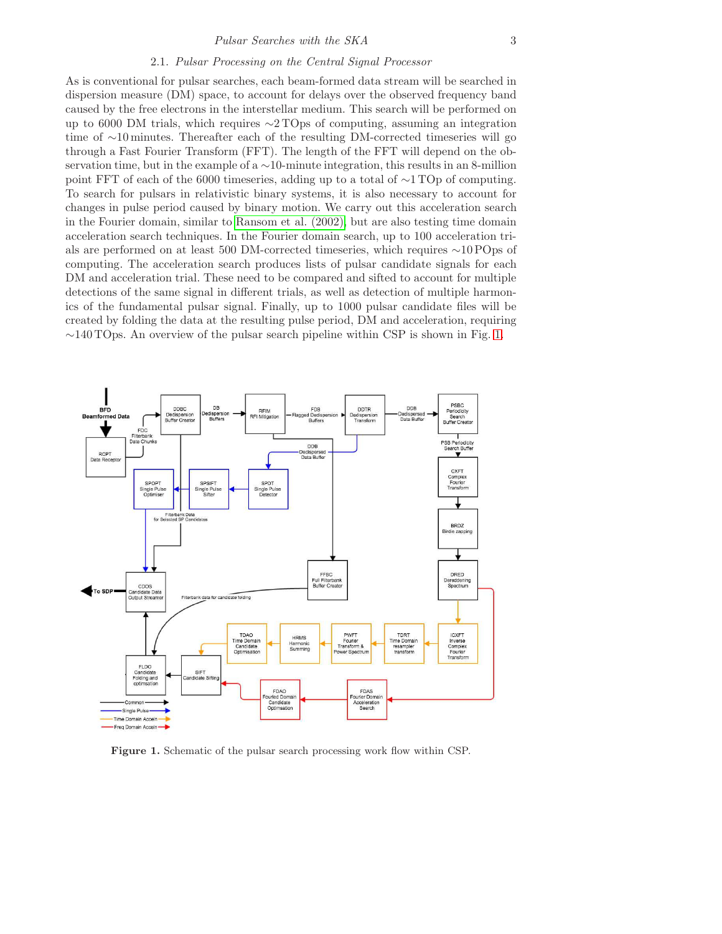### Pulsar Searches with the SKA 3

# 2.1. Pulsar Processing on the Central Signal Processor

As is conventional for pulsar searches, each beam-formed data stream will be searched in dispersion measure (DM) space, to account for delays over the observed frequency band caused by the free electrons in the interstellar medium. This search will be performed on up to 6000 DM trials, which requires ∼2 TOps of computing, assuming an integration time of ∼10 minutes. Thereafter each of the resulting DM-corrected timeseries will go through a Fast Fourier Transform (FFT). The length of the FFT will depend on the observation time, but in the example of a ∼10-minute integration, this results in an 8-million point FFT of each of the 6000 timeseries, adding up to a total of ∼1 TOp of computing. To search for pulsars in relativistic binary systems, it is also necessary to account for changes in pulse period caused by binary motion. We carry out this acceleration search in the Fourier domain, similar to [Ransom et al. \(2002\),](#page-3-0) but are also testing time domain acceleration search techniques. In the Fourier domain search, up to 100 acceleration trials are performed on at least 500 DM-corrected timeseries, which requires ∼10 POps of computing. The acceleration search produces lists of pulsar candidate signals for each DM and acceleration trial. These need to be compared and sifted to account for multiple detections of the same signal in different trials, as well as detection of multiple harmonics of the fundamental pulsar signal. Finally, up to 1000 pulsar candidate files will be created by folding the data at the resulting pulse period, DM and acceleration, requiring  $\sim$ 140 TOps. An overview of the pulsar search pipeline within CSP is shown in Fig. [1.](#page-2-0)



<span id="page-2-0"></span>Figure 1. Schematic of the pulsar search processing work flow within CSP.